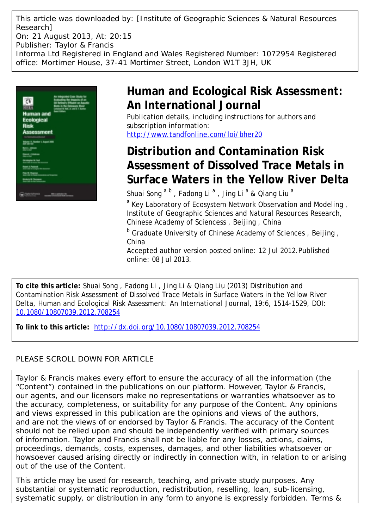This article was downloaded by: [Institute of Geographic Sciences & Natural Resources Research] On: 21 August 2013, At: 20:15 Publisher: Taylor & Francis Informa Ltd Registered in England and Wales Registered Number: 1072954 Registered office: Mortimer House, 37-41 Mortimer Street, London W1T 3JH, UK



# **Human and Ecological Risk Assessment: An International Journal**

Publication details, including instructions for authors and subscription information: <http://www.tandfonline.com/loi/bher20>

# **Distribution and Contamination Risk Assessment of Dissolved Trace Metals in Surface Waters in the Yellow River Delta**

Shuai Song <sup>a b</sup>, Fadong Li<sup>a</sup>, Jing Li<sup>a</sup> & Qiang Liu<sup>a</sup>

<sup>a</sup> Key Laboratory of Ecosystem Network Observation and Modeling, Institute of Geographic Sciences and Natural Resources Research, Chinese Academy of Sciencess , Beijing , China

<sup>b</sup> Graduate University of Chinese Academy of Sciences, Beijing, China

Accepted author version posted online: 12 Jul 2012.Published online: 08 Jul 2013.

**To cite this article:** Shuai Song , Fadong Li , Jing Li & Qiang Liu (2013) Distribution and Contamination Risk Assessment of Dissolved Trace Metals in Surface Waters in the Yellow River Delta, Human and Ecological Risk Assessment: An International Journal, 19:6, 1514-1529, DOI: [10.1080/10807039.2012.708254](http://www.tandfonline.com/action/showCitFormats?doi=10.1080/10807039.2012.708254)

**To link to this article:** <http://dx.doi.org/10.1080/10807039.2012.708254>

# PLEASE SCROLL DOWN FOR ARTICLE

Taylor & Francis makes every effort to ensure the accuracy of all the information (the "Content") contained in the publications on our platform. However, Taylor & Francis, our agents, and our licensors make no representations or warranties whatsoever as to the accuracy, completeness, or suitability for any purpose of the Content. Any opinions and views expressed in this publication are the opinions and views of the authors, and are not the views of or endorsed by Taylor & Francis. The accuracy of the Content should not be relied upon and should be independently verified with primary sources of information. Taylor and Francis shall not be liable for any losses, actions, claims, proceedings, demands, costs, expenses, damages, and other liabilities whatsoever or howsoever caused arising directly or indirectly in connection with, in relation to or arising out of the use of the Content.

This article may be used for research, teaching, and private study purposes. Any substantial or systematic reproduction, redistribution, reselling, loan, sub-licensing, systematic supply, or distribution in any form to anyone is expressly forbidden. Terms &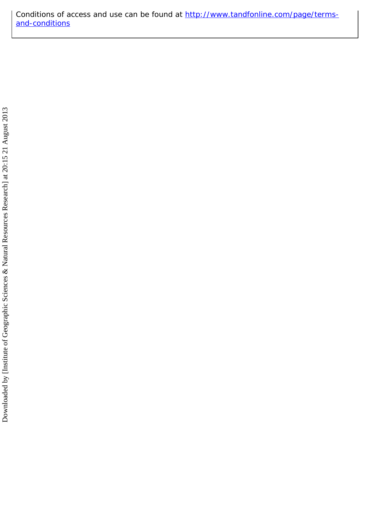Conditions of access and use can be found at [http://www.tandfonline.com/page/terms](http://www.tandfonline.com/page/terms-and-conditions)[and-conditions](http://www.tandfonline.com/page/terms-and-conditions)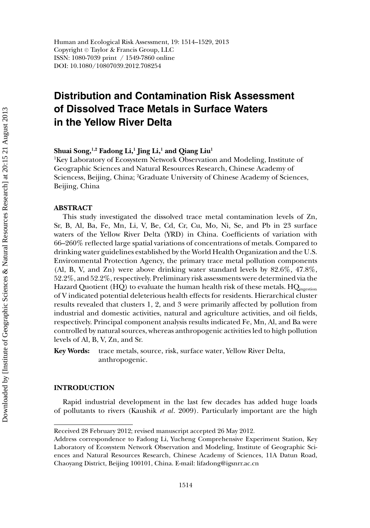Human and Ecological Risk Assessment, 19: 1514–1529, 2013 Copyright © Taylor & Francis Group, LLC ISSN: 1080-7039 print / 1549-7860 online DOI: 10.1080/10807039.2012.708254

# **Distribution and Contamination Risk Assessment of Dissolved Trace Metals in Surface Waters in the Yellow River Delta**

**Shuai Song,1,2 Fadong Li,1 Jing Li,1 and Qiang Liu1**

1 Key Laboratory of Ecosystem Network Observation and Modeling, Institute of Geographic Sciences and Natural Resources Research, Chinese Academy of Sciencess, Beijing, China; <sup>2</sup>Graduate University of Chinese Academy of Sciences, Beijing, China

# **ABSTRACT**

This study investigated the dissolved trace metal contamination levels of Zn, Sr, B, Al, Ba, Fe, Mn, Li, V, Be, Cd, Cr, Cu, Mo, Ni, Se, and Pb in 23 surface waters of the Yellow River Delta (YRD) in China. Coefficients of variation with 66–260% reflected large spatial variations of concentrations of metals. Compared to drinking water guidelines established by the World Health Organization and the U.S. Environmental Protection Agency, the primary trace metal pollution components (Al, B, V, and Zn) were above drinking water standard levels by 82.6%, 47.8%, 52.2%, and 52.2%, respectively. Preliminary risk assessments were determined via the Hazard Quotient (HQ) to evaluate the human health risk of these metals.  $HQ_{ingestion}$ of V indicated potential deleterious health effects for residents. Hierarchical cluster results revealed that clusters 1, 2, and 3 were primarily affected by pollution from industrial and domestic activities, natural and agriculture activities, and oil fields, respectively. Principal component analysis results indicated Fe, Mn, Al, and Ba were controlled by natural sources, whereas anthropogenic activities led to high pollution levels of Al, B, V, Zn, and Sr.

**Key Words:** trace metals, source, risk, surface water, Yellow River Delta, anthropogenic.

# **INTRODUCTION**

Rapid industrial development in the last few decades has added huge loads of pollutants to rivers (Kaushik *et al*. 2009). Particularly important are the high

Received 28 February 2012; revised manuscript accepted 26 May 2012.

Address correspondence to Fadong Li, Yucheng Comprehensive Experiment Station, Key Laboratory of Ecosystem Network Observation and Modeling, Institute of Geographic Sciences and Natural Resources Research, Chinese Academy of Sciences, 11A Datun Road, Chaoyang District, Beijing 100101, China. E-mail: lifadong@igsnrr.ac.cn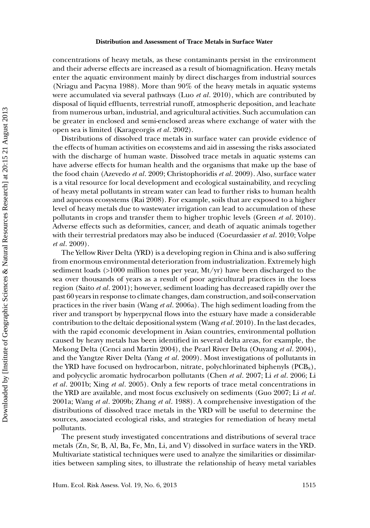concentrations of heavy metals, as these contaminants persist in the environment and their adverse effects are increased as a result of biomagnification. Heavy metals enter the aquatic environment mainly by direct discharges from industrial sources (Nriagu and Pacyna 1988). More than 90% of the heavy metals in aquatic systems were accumulated via several pathways (Luo *et al*. 2010), which are contributed by disposal of liquid effluents, terrestrial runoff, atmospheric deposition, and leachate from numerous urban, industrial, and agricultural activities. Such accumulation can be greater in enclosed and semi-enclosed areas where exchange of water with the open sea is limited (Karageorgis *et al*. 2002).

Distributions of dissolved trace metals in surface water can provide evidence of the effects of human activities on ecosystems and aid in assessing the risks associated with the discharge of human waste. Dissolved trace metals in aquatic systems can have adverse effects for human health and the organisms that make up the base of the food chain (Azevedo *et al*. 2009; Christophoridis *et al*. 2009). Also, surface water is a vital resource for local development and ecological sustainability, and recycling of heavy metal pollutants in stream water can lead to further risks to human health and aqueous ecosystems (Rai 2008). For example, soils that are exposed to a higher level of heavy metals due to wastewater irrigation can lead to accumulation of these pollutants in crops and transfer them to higher trophic levels (Green *et al*. 2010). Adverse effects such as deformities, cancer, and death of aquatic animals together with their terrestrial predators may also be induced (Coeurdassier *et al*. 2010; Volpe *et al*. 2009).

The Yellow River Delta (YRD) is a developing region in China and is also suffering from enormous environmental deterioration from industrialization. Extremely high sediment loads (>1000 million tones per year, Mt/yr) have been discharged to the sea over thousands of years as a result of poor agricultural practices in the loess region (Saito *et al*. 2001); however, sediment loading has decreased rapidly over the past 60 years in response to climate changes, dam construction, and soil-conservation practices in the river basin (Wang *et al*. 2006a). The high sediment loading from the river and transport by hyperpycnal flows into the estuary have made a considerable contribution to the deltaic depositional system (Wang *et al*. 2010). In the last decades, with the rapid economic development in Asian countries, environmental pollution caused by heavy metals has been identified in several delta areas, for example, the Mekong Delta (Cenci and Martin 2004), the Pearl River Delta (Ouyang *et al*. 2004), and the Yangtze River Delta (Yang *et al*. 2009). Most investigations of pollutants in the YRD have focused on hydrocarbon, nitrate, polychlorinated biphenyls  $(PCB<sub>S</sub>)$ , and polycyclic aromatic hydrocarbon pollutants (Chen *et al*. 2007; Li *et al*. 2006; Li *et al*. 2001b; Xing *et al*. 2005). Only a few reports of trace metal concentrations in the YRD are available, and most focus exclusively on sediments (Guo 2007; Li *et al*. 2001a; Wang *et al*. 2009b; Zhang *et al*. 1988). A comprehensive investigation of the distributions of dissolved trace metals in the YRD will be useful to determine the sources, associated ecological risks, and strategies for remediation of heavy metal pollutants.

The present study investigated concentrations and distributions of several trace metals (Zn, Sr, B, Al, Ba, Fe, Mn, Li, and V) dissolved in surface waters in the YRD. Multivariate statistical techniques were used to analyze the similarities or dissimilarities between sampling sites, to illustrate the relationship of heavy metal variables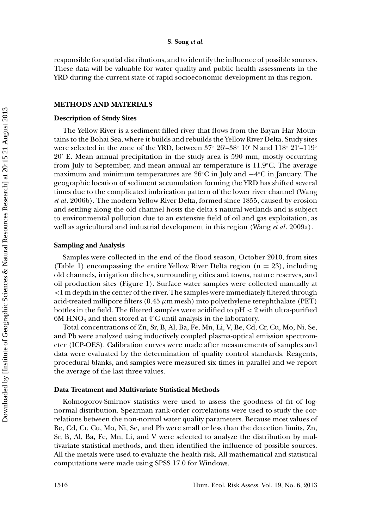#### **S. Song** *et al.*

responsible for spatial distributions, and to identify the influence of possible sources. These data will be valuable for water quality and public health assessments in the YRD during the current state of rapid socioeconomic development in this region.

# **METHODS AND MATERIALS**

#### **Description of Study Sites**

The Yellow River is a sediment-filled river that flows from the Bayan Har Mountains to the Bohai Sea, where it builds and rebuilds the Yellow River Delta. Study sites were selected in the zone of the YRD, between  $37^{\circ}$   $26^{\prime}-38^{\circ}$   $10^{\prime}$  N and  $118^{\circ}$   $21^{\prime}-119^{\circ}$ 20 E. Mean annual precipitation in the study area is 590 mm, mostly occurring from July to September, and mean annual air temperature is 11.9◦ C. The average maximum and minimum temperatures are  $26^{\circ}\mathrm{C}$  in July and  $-4^{\circ}\mathrm{C}$  in January. The geographic location of sediment accumulation forming the YRD has shifted several times due to the complicated imbrication pattern of the lower river channel (Wang *et al*. 2006b). The modern Yellow River Delta, formed since 1855, caused by erosion and settling along the old channel hosts the delta's natural wetlands and is subject to environmental pollution due to an extensive field of oil and gas exploitation, as well as agricultural and industrial development in this region (Wang *et al*. 2009a).

#### **Sampling and Analysis**

Samples were collected in the end of the flood season, October 2010, from sites (Table 1) encompassing the entire Yellow River Delta region  $(n = 23)$ , including old channels, irrigation ditches, surrounding cities and towns, nature reserves, and oil production sites (Figure 1). Surface water samples were collected manually at *<*1 m depth in the center of the river. The samples were immediately filtered through acid-treated millipore filters (0.45 *µ*m mesh) into polyethylene terephthalate (PET) bottles in the field. The filtered samples were acidified to pH *<* 2 with ultra-purified  $6\mathrm{M}$  HNO $_3$  and then stored at 4°C until analysis in the laboratory.

Total concentrations of Zn, Sr, B, Al, Ba, Fe, Mn, Li, V, Be, Cd, Cr, Cu, Mo, Ni, Se, and Pb were analyzed using inductively coupled plasma-optical emission spectrometer (ICP-OES). Calibration curves were made after measurements of samples and data were evaluated by the determination of quality control standards. Reagents, procedural blanks, and samples were measured six times in parallel and we report the average of the last three values.

## **Data Treatment and Multivariate Statistical Methods**

Kolmogorov-Smirnov statistics were used to assess the goodness of fit of lognormal distribution. Spearman rank-order correlations were used to study the correlations between the non-normal water quality parameters. Because most values of Be, Cd, Cr, Cu, Mo, Ni, Se, and Pb were small or less than the detection limits, Zn, Sr, B, Al, Ba, Fe, Mn, Li, and V were selected to analyze the distribution by multivariate statistical methods, and then identified the influence of possible sources. All the metals were used to evaluate the health risk. All mathematical and statistical computations were made using SPSS 17.0 for Windows.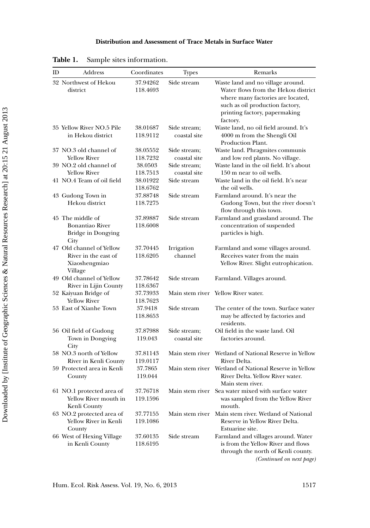| ID | Address                                                                      | Coordinates          | <b>Types</b>                 | Remarks                                                                                                                                                                                       |
|----|------------------------------------------------------------------------------|----------------------|------------------------------|-----------------------------------------------------------------------------------------------------------------------------------------------------------------------------------------------|
|    | 32 Northwest of Hekou<br>district                                            | 37.94262<br>118.4693 | Side stream                  | Waste land and no village around.<br>Water flows from the Hekou district<br>where many factories are located,<br>such as oil production factory,<br>printing factory, papermaking<br>factory. |
|    | 35 Yellow River NO.5 Pile<br>in Hekou district                               | 38.01687<br>118.9112 | Side stream;<br>coastal site | Waste land, no oil field around. It's<br>4000 m from the Shengli Oil<br>Production Plant.                                                                                                     |
|    | 37 NO.3 old channel of<br><b>Yellow River</b>                                | 38.05552<br>118.7232 | Side stream;<br>coastal site | Waste land. Phragmites communis<br>and low red plants. No village.                                                                                                                            |
|    | 39 NO.2 old channel of<br><b>Yellow River</b>                                | 38.0503<br>118.7513  | Side stream:<br>coastal site | Waste land in the oil field. It's about<br>150 m near to oil wells.                                                                                                                           |
|    | 41 NO.4 Team of oil field                                                    | 38.01922<br>118.6762 | Side stream                  | Waste land in the oil field. It's near<br>the oil wells.                                                                                                                                      |
|    | 43 Gudong Town in<br>Hekou district                                          | 37.88748<br>118.7275 | Side stream                  | Farmland around. It's near the<br>Gudong Town, but the river doesn't<br>flow through this town.                                                                                               |
|    | 45 The middle of<br><b>Bonantiao River</b><br>Bridge in Dongying<br>City     | 37.89887<br>118.6008 | Side stream                  | Farmland and grassland around. The<br>concentration of suspended<br>particles is high.                                                                                                        |
|    | 47 Old channel of Yellow<br>River in the east of<br>Xiaoshengmiao<br>Village | 37.70445<br>118.6205 | Irrigation<br>channel        | Farmland and some villages around.<br>Receives water from the main<br>Yellow River. Slight eutrophication.                                                                                    |
|    | 49 Old channel of Yellow<br>River in Lijin County                            | 37.78642<br>118.6367 | Side stream                  | Farmland. Villages around.                                                                                                                                                                    |
|    | 52 Kaiyuan Bridge of<br><b>Yellow River</b>                                  | 37.73933<br>118.7623 | Main stem river              | <b>Yellow River water.</b>                                                                                                                                                                    |
|    | 53 East of Xianhe Town                                                       | 37.9418<br>118.8653  | Side stream                  | The center of the town. Surface water<br>may be affected by factories and<br>residents.                                                                                                       |
|    | 56 Oil field of Gudong<br>Town in Dongying<br>City                           | 37.87988<br>119.043  | Side stream;<br>coastal site | Oil field in the waste land. Oil<br>factories around.                                                                                                                                         |
|    | 58 NO.3 north of Yellow<br>River in Kenli County                             | 37.81143<br>119.0117 | Main stem river              | Wetland of National Reserve in Yellow<br>River Delta.                                                                                                                                         |
|    | 59 Protected area in Kenli<br>County                                         | 37.7865<br>119.044   | Main stem river              | Wetland of National Reserve in Yellow<br>River Delta. Yellow River water.<br>Main stem river.                                                                                                 |
|    | 61 NO.1 protected area of<br>Yellow River mouth in<br>Kenli County           | 37.76718<br>119.1596 |                              | Main stem river Sea water mixed with surface water<br>was sampled from the Yellow River<br>mouth.                                                                                             |
|    | 63 NO.2 protected area of<br>Yellow River in Kenli<br>County                 | 37.77155<br>119.1086 | Main stem river              | Main stem river. Wetland of National<br>Reserve in Yellow River Delta.<br>Estuarine site.                                                                                                     |
|    | 66 West of Hexing Village<br>in Kenli County                                 | 37.60135<br>118.6195 | Side stream                  | Farmland and villages around. Water<br>is from the Yellow River and flows<br>through the north of Kenli county.<br>(Continued on next page)                                                   |

| Table 1.<br>Sample sites information. |  |
|---------------------------------------|--|
|---------------------------------------|--|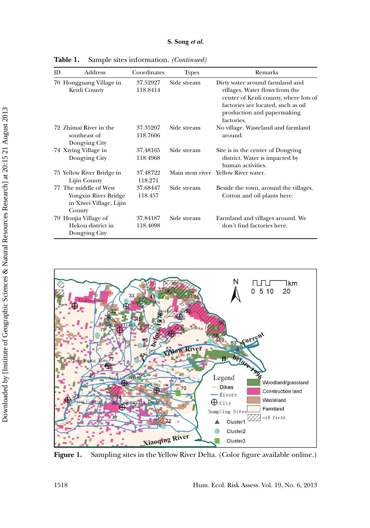| ID | Address                                                                            | Coordinates          | <b>Types</b> | Remarks                                                                                                                                                                                      |
|----|------------------------------------------------------------------------------------|----------------------|--------------|----------------------------------------------------------------------------------------------------------------------------------------------------------------------------------------------|
|    | 70 Hongguang Village in<br>Kenli County                                            | 37.52927<br>118.8414 | Side stream  | Dirty water around farmland and<br>villages. Water flows from the<br>center of Kenli county, where lots of<br>factories are located, such as oil<br>production and papermaking<br>factories. |
|    | 72 Zhimai River in the<br>southeast of<br>Dongying City                            | 37.35207<br>118.7606 | Side stream  | No village. Wasteland and farmland<br>around.                                                                                                                                                |
|    | 74 Xiying Village in<br>Dongying City                                              | 37.48165<br>118.4968 | Side stream  | Site is in the center of Dongying<br>district. Water is impacted by<br>human activities.                                                                                                     |
|    | 75 Yellow River Bridge in<br>Lijin County                                          | 37.48722<br>118.271  |              | Main stem river Yellow River water.                                                                                                                                                          |
|    | 77 The middle of West<br>Yongxin River Bridge<br>in Xiwei Village, Lijin<br>County | 37.68447<br>118.457  | Side stream  | Beside the town, around the villages.<br>Cotton and oil plants here.                                                                                                                         |
|    | 79 Houjia Village of<br>Hekou district in<br>Dongying City                         | 37.84187<br>118.4098 | Side stream  | Farmland and villages around. We<br>don't find factories here.                                                                                                                               |

**Table 1.** Sample sites information. *(Continued)*



Figure 1. Sampling sites in the Yellow River Delta. (Color figure available online.)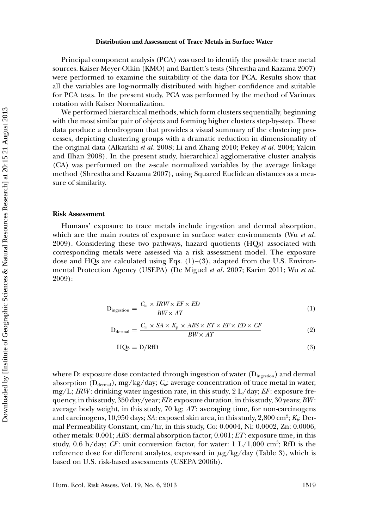#### **Distribution and Assessment of Trace Metals in Surface Water**

Principal component analysis (PCA) was used to identify the possible trace metal sources. Kaiser-Meyer-Olkin (KMO) and Bartlett's tests (Shrestha and Kazama 2007) were performed to examine the suitability of the data for PCA. Results show that all the variables are log-normally distributed with higher confidence and suitable for PCA tests. In the present study, PCA was performed by the method of Varimax rotation with Kaiser Normalization.

We performed hierarchical methods, which form clusters sequentially, beginning with the most similar pair of objects and forming higher clusters step-by-step. These data produce a dendrogram that provides a visual summary of the clustering processes, depicting clustering groups with a dramatic reduction in dimensionality of the original data (Alkarkhi *et al*. 2008; Li and Zhang 2010; Pekey *et al*. 2004; Yalcin and Ilhan 2008). In the present study, hierarchical agglomerative cluster analysis (CA) was performed on the z-scale normalized variables by the average linkage method (Shrestha and Kazama 2007), using Squared Euclidean distances as a measure of similarity.

#### **Risk Assessment**

Humans' exposure to trace metals include ingestion and dermal absorption, which are the main routes of exposure in surface water environments (Wu *et al*. 2009). Considering these two pathways, hazard quotients (HQs) associated with corresponding metals were assessed via a risk assessment model. The exposure dose and HQs are calculated using Eqs.  $(1)-(3)$ , adapted from the U.S. Environmental Protection Agency (USEPA) (De Miguel *et al*. 2007; Karim 2011; Wu *et al*. 2009):

$$
D_{\text{ingestion}} = \frac{C_w \times IRW \times EF \times ED}{BW \times AT}
$$
 (1)

$$
D_{\text{dermal}} = \frac{C_w \times SA \times K_p \times ABS \times ET \times EF \times ED \times CF}{BW \times AT}
$$
 (2)

$$
HQs = D/RTD \tag{3}
$$

where D: exposure dose contacted through ingestion of water  $(D_{\text{integration}})$  and dermal absorption (D<sub>dermal</sub>), mg/kg/day; *C<sub>w</sub>*: average concentration of trace metal in water, mg/L; *IRW* : drinking water ingestion rate, in this study, 2 L/day; *EF* : exposure frequency, in this study, 350 day/year; *ED*: exposure duration, in this study, 30 years; *BW* : average body weight, in this study, 70 kg; *AT*: averaging time, for non-carcinogens and carcinogens, 10,950 days; *SA*: exposed skin area, in this study, 2,800 cm<sup>2</sup>;  $K_p$ : Dermal Permeability Constant, cm/hr, in this study, Co: 0.0004, Ni: 0.0002, Zn: 0.0006, other metals: 0.001; *ABS*: dermal absorption factor, 0.001; *ET*: exposure time, in this study, 0.6 h/day; *CF*: unit conversion factor, for water: 1 L/1,000 cm<sup>3</sup>; RfD is the reference dose for different analytes, expressed in  $\mu$ g/kg/day (Table 3), which is based on U.S. risk-based assessments (USEPA 2006b).

Hum. Ecol. Risk Assess. Vol. 19, No. 6, 2013 1519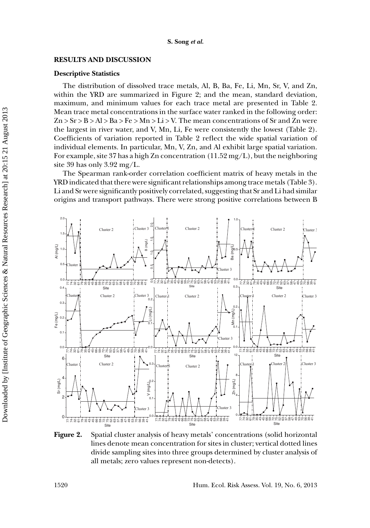## **RESULTS AND DISCUSSION**

#### **Descriptive Statistics**

The distribution of dissolved trace metals, Al, B, Ba, Fe, Li, Mn, Sr, V, and Zn, within the YRD are summarized in Figure 2; and the mean, standard deviation, maximum, and minimum values for each trace metal are presented in Table 2. Mean trace metal concentrations in the surface water ranked in the following order:  $Zn > Sr > B > Al > Ba > Fe > Mn > Li > V$ . The mean concentrations of Sr and Zn were the largest in river water, and V, Mn, Li, Fe were consistently the lowest (Table 2). Coefficients of variation reported in Table 2 reflect the wide spatial variation of individual elements. In particular, Mn, V, Zn, and Al exhibit large spatial variation. For example, site 37 has a high Zn concentration  $(11.52 \,\text{mg/L})$ , but the neighboring site 39 has only 3.92 mg/L.

The Spearman rank-order correlation coefficient matrix of heavy metals in the YRD indicated that there were significant relationships among trace metals (Table 3). Li and Sr were significantly positively correlated, suggesting that Sr and Li had similar origins and transport pathways. There were strong positive correlations between B



**Figure 2.** Spatial cluster analysis of heavy metals' concentrations (solid horizontal lines denote mean concentration for sites in cluster; vertical dotted lines divide sampling sites into three groups determined by cluster analysis of all metals; zero values represent non-detects).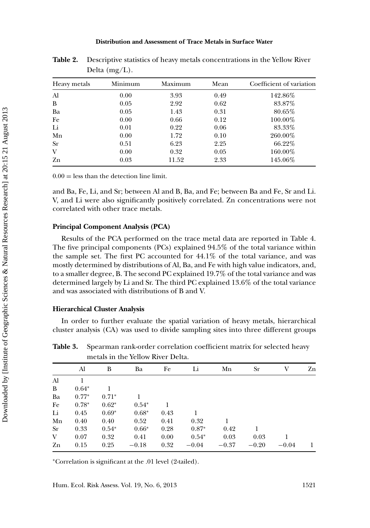#### **Distribution and Assessment of Trace Metals in Surface Water**

| Heavy metals | Minimum | Maximum | Mean | Coefficient of variation |
|--------------|---------|---------|------|--------------------------|
| Al           | 0.00    | 3.93    | 0.49 | 142.86%                  |
| B            | 0.05    | 2.92    | 0.62 | 83.87%                   |
| Ba           | 0.05    | 1.43    | 0.31 | 80.65%                   |
| Fe           | 0.00    | 0.66    | 0.12 | 100.00%                  |
| Li           | 0.01    | 0.22    | 0.06 | 83.33%                   |
| Mn           | 0.00    | 1.72    | 0.10 | 260.00%                  |
| <b>Sr</b>    | 0.51    | 6.23    | 2.25 | 66.22%                   |
| V            | 0.00    | 0.32    | 0.05 | 160.00%                  |
| Zn           | 0.03    | 11.52   | 2.33 | 145.06%                  |

**Table 2.** Descriptive statistics of heavy metals concentrations in the Yellow River Delta (mg/L).

 $0.00 =$  less than the detection line limit.

and Ba, Fe, Li, and Sr; between Al and B, Ba, and Fe; between Ba and Fe, Sr and Li. V, and Li were also significantly positively correlated. Zn concentrations were not correlated with other trace metals.

### **Principal Component Analysis (PCA)**

Results of the PCA performed on the trace metal data are reported in Table 4. The five principal components (PCs) explained 94.5% of the total variance within the sample set. The first PC accounted for 44.1% of the total variance, and was mostly determined by distributions of Al, Ba, and Fe with high value indicators, and, to a smaller degree, B. The second PC explained 19.7% of the total variance and was determined largely by Li and Sr. The third PC explained 13.6% of the total variance and was associated with distributions of B and V.

#### **Hierarchical Cluster Analysis**

In order to further evaluate the spatial variation of heavy metals, hierarchical cluster analysis (CA) was used to divide sampling sites into three different groups

metals in the Yellow River Delta.

**Table 3.** Spearman rank-order correlation coefficient matrix for selected heavy

|    | Al      | B       | Ba      | Fe   | Li      | Mn      | Sr      | V       | Zn |
|----|---------|---------|---------|------|---------|---------|---------|---------|----|
| Al | 1       |         |         |      |         |         |         |         |    |
| B  | $0.64*$ |         |         |      |         |         |         |         |    |
| Ba | $0.77*$ | $0.71*$ |         |      |         |         |         |         |    |
| Fe | $0.78*$ | $0.62*$ | $0.54*$ |      |         |         |         |         |    |
| Li | 0.45    | $0.69*$ | $0.68*$ | 0.43 |         |         |         |         |    |
| Mn | 0.40    | 0.40    | 0.52    | 0.41 | 0.32    |         |         |         |    |
| Sr | 0.33    | $0.54*$ | $0.66*$ | 0.28 | $0.87*$ | 0.42    |         |         |    |
| V  | 0.07    | 0.32    | 0.41    | 0.00 | $0.54*$ | 0.03    | 0.03    |         |    |
| Zn | 0.15    | 0.25    | $-0.18$ | 0.32 | $-0.04$ | $-0.37$ | $-0.20$ | $-0.04$ |    |
|    |         |         |         |      |         |         |         |         |    |

<sup>∗</sup>Correlation is significant at the .01 level (2-tailed).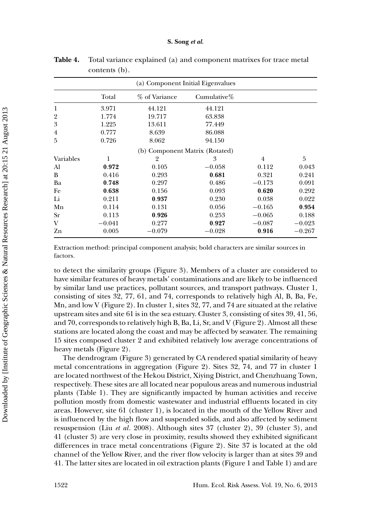|                |          |                                | (a) Component Initial Eigenvalues |                |          |
|----------------|----------|--------------------------------|-----------------------------------|----------------|----------|
|                | Total    | % of Variance                  | Cumulative $%$                    |                |          |
| 1              | 3.971    | 44.121                         | 44.121                            |                |          |
| $\overline{2}$ | 1.774    | 19.717                         | 63.838                            |                |          |
| 3              | 1.225    | 13.611                         | 77.449                            |                |          |
| 4              | 0.777    | 8.639                          | 86.088                            |                |          |
| 5              | 0.726    | 8.062                          | 94.150                            |                |          |
|                |          | (b) Component Matrix (Rotated) |                                   |                |          |
| Variables      | 1        | $\overline{2}$                 | 3                                 | $\overline{4}$ | 5        |
| Al             | 0.972    | 0.105                          | $-0.058$                          | 0.112          | 0.043    |
| B              | 0.416    | 0.293                          | 0.681                             | 0.321          | 0.241    |
| Ba             | 0.748    | 0.297                          | 0.486                             | $-0.173$       | 0.091    |
| Fe             | 0.638    | 0.156                          | 0.093                             | 0.620          | 0.292    |
| Li             | 0.211    | 0.937                          | 0.230                             | 0.038          | 0.022    |
| Mn             | 0.114    | 0.131                          | 0.056                             | $-0.165$       | 0.954    |
| <b>Sr</b>      | 0.113    | 0.926                          | 0.253                             | $-0.065$       | 0.188    |
| V              | $-0.041$ | 0.277                          | 0.927                             | $-0.087$       | $-0.023$ |
| Zn             | 0.005    | $-0.079$                       | $-0.028$                          | 0.916          | $-0.267$ |

**Table 4.** Total variance explained (a) and component matrixes for trace metal contents (b).

Extraction method: principal component analysis; bold characters are similar sources in factors.

to detect the similarity groups (Figure 3). Members of a cluster are considered to have similar features of heavy metals' contaminations and are likely to be influenced by similar land use practices, pollutant sources, and transport pathways. Cluster 1, consisting of sites 32, 77, 61, and 74, corresponds to relatively high Al, B, Ba, Fe, Mn, and low V (Figure 2). In cluster 1, sites 32, 77, and 74 are situated at the relative upstream sites and site 61 is in the sea estuary. Cluster 3, consisting of sites 39, 41, 56, and 70, corresponds to relatively high B, Ba, Li, Sr, and V (Figure 2). Almost all these stations are located along the coast and may be affected by seawater. The remaining 15 sites composed cluster 2 and exhibited relatively low average concentrations of heavy metals (Figure 2).

The dendrogram (Figure 3) generated by CA rendered spatial similarity of heavy metal concentrations in aggregation (Figure 2). Sites 32, 74, and 77 in cluster 1 are located northwest of the Hekou District, Xiying District, and Chenzhuang Town, respectively. These sites are all located near populous areas and numerous industrial plants (Table 1). They are significantly impacted by human activities and receive pollution mostly from domestic wastewater and industrial effluents located in city areas. However, site 61 (cluster 1), is located in the mouth of the Yellow River and is influenced by the high flow and suspended solids, and also affected by sediment resuspension (Liu *et al*. 2008). Although sites 37 (cluster 2), 39 (cluster 3), and 41 (cluster 3) are very close in proximity, results showed they exhibited significant differences in trace metal concentrations (Figure 2). Site 37 is located at the old channel of the Yellow River, and the river flow velocity is larger than at sites 39 and 41. The latter sites are located in oil extraction plants (Figure 1 and Table 1) and are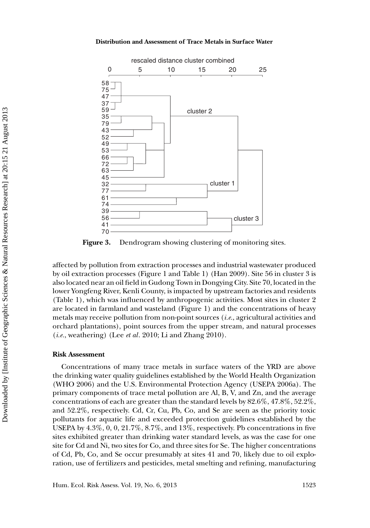

**Figure 3.** Dendrogram showing clustering of monitoring sites.

affected by pollution from extraction processes and industrial wastewater produced by oil extraction processes (Figure 1 and Table 1) (Han 2009). Site 56 in cluster 3 is also located near an oil field in Gudong Town in Dongying City. Site 70, located in the lower Yongfeng River, Kenli County, is impacted by upstream factories and residents (Table 1), which was influenced by anthropogenic activities. Most sites in cluster 2 are located in farmland and wasteland (Figure 1) and the concentrations of heavy metals may receive pollution from non-point sources (*i.e.*, agricultural activities and orchard plantations), point sources from the upper stream, and natural processes (*i.e.*, weathering) (Lee *et al*. 2010; Li and Zhang 2010).

### **Risk Assessment**

Concentrations of many trace metals in surface waters of the YRD are above the drinking water quality guidelines established by the World Health Organization (WHO 2006) and the U.S. Environmental Protection Agency (USEPA 2006a). The primary components of trace metal pollution are Al, B, V, and Zn, and the average concentrations of each are greater than the standard levels by 82.6%, 47.8%, 52.2%, and 52.2%, respectively. Cd, Cr, Cu, Pb, Co, and Se are seen as the priority toxic pollutants for aquatic life and exceeded protection guidelines established by the USEPA by 4.3%, 0, 0, 21.7%, 8.7%, and 13%, respectively. Pb concentrations in five sites exhibited greater than drinking water standard levels, as was the case for one site for Cd and Ni, two sites for Co, and three sites for Se. The higher concentrations of Cd, Pb, Co, and Se occur presumably at sites 41 and 70, likely due to oil exploration, use of fertilizers and pesticides, metal smelting and refining, manufacturing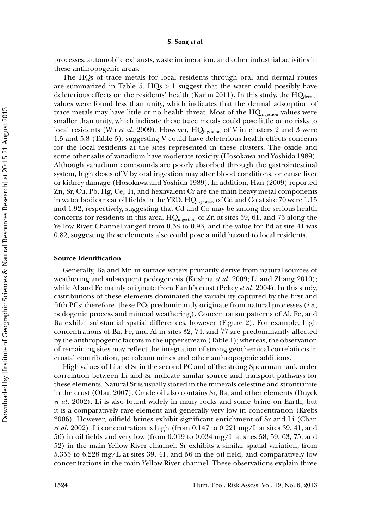processes, automobile exhausts, waste incineration, and other industrial activities in these anthropogenic areas.

The HQs of trace metals for local residents through oral and dermal routes are summarized in Table 5.  $HQs > 1$  suggest that the water could possibly have deleterious effects on the residents' health (Karim 2011). In this study, the  $HQ_{\text{dermal}}$ values were found less than unity, which indicates that the dermal adsorption of trace metals may have little or no health threat. Most of the  $HQ_{ingestion}$  values were smaller than unity, which indicate these trace metals could pose little or no risks to local residents (Wu *et al.* 2009). However, HQ<sub>ingestion</sub> of V in clusters 2 and 3 were 1.5 and 5.8 (Table 5), suggesting V could have deleterious health effects concerns for the local residents at the sites represented in these clusters. The oxide and some other salts of vanadium have moderate toxicity (Hosokawa and Yoshida 1989). Although vanadium compounds are poorly absorbed through the gastrointestinal system, high doses of V by oral ingestion may alter blood conditions, or cause liver or kidney damage (Hosokawa and Yoshida 1989). In addition, Han (2009) reported Zn, Sr, Cu, Pb, Hg, Ce, Ti, and hexavalent Cr are the main heavy metal components in water bodies near oil fields in the YRD.  $HQ_{\text{ingestion}}$  of Cd and Co at site 70 were 1.15 and 1.92, respectively, suggesting that Cd and Co may be among the serious health concerns for residents in this area.  $HQ_{\text{ingestion}}$  of Zn at sites 59, 61, and 75 along the Yellow River Channel ranged from 0.58 to 0.93, and the value for Pd at site 41 was 0.82, suggesting these elements also could pose a mild hazard to local residents.

#### **Source Identification**

Generally, Ba and Mn in surface waters primarily derive from natural sources of weathering and subsequent pedogenesis (Krishna *et al*. 2009; Li and Zhang 2010); while Al and Fe mainly originate from Earth's crust (Pekey *et al*. 2004). In this study, distributions of these elements dominated the variability captured by the first and fifth PCs; therefore, these PCs predominantly originate from natural processes (*i.e.*, pedogenic process and mineral weathering). Concentration patterns of Al, Fe, and Ba exhibit substantial spatial differences, however (Figure 2). For example, high concentrations of Ba, Fe, and Al in sites 32, 74, and 77 are predominantly affected by the anthropogenic factors in the upper stream (Table 1); whereas, the observation of remaining sites may reflect the integration of strong geochemical correlations in crustal contribution, petroleum mines and other anthropogenic additions.

High values of Li and Sr in the second PC and of the strong Spearman rank-order correlation between Li and Sr indicate similar source and transport pathways for these elements. Natural Sr is usually stored in the minerals celestine and strontianite in the crust (Obut 2007). Crude oil also contains Sr, Ba, and other elements (Duyck *et al*. 2002). Li is also found widely in many rocks and some brine on Earth, but it is a comparatively rare element and generally very low in concentration (Krebs 2006). However, oilfield brines exhibit significant enrichment of Sr and Li (Chan *et al*. 2002). Li concentration is high (from 0.147 to 0.221 mg/L at sites 39, 41, and 56) in oil fields and very low (from 0.019 to 0.034 mg/L at sites 58, 59, 63, 75, and 52) in the main Yellow River channel. Sr exhibits a similar spatial variation, from 5.355 to 6.228 mg/L at sites 39, 41, and 56 in the oil field, and comparatively low concentrations in the main Yellow River channel. These observations explain three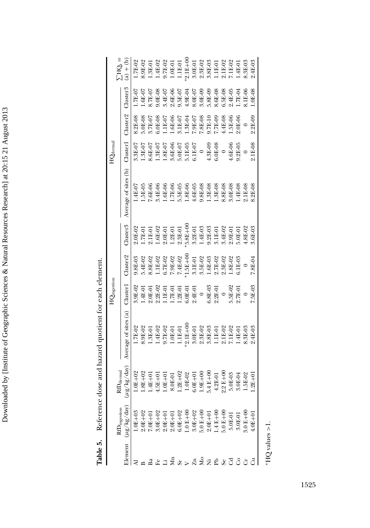| l                                                                                                                                                |
|--------------------------------------------------------------------------------------------------------------------------------------------------|
|                                                                                                                                                  |
|                                                                                                                                                  |
| ١                                                                                                                                                |
| l                                                                                                                                                |
| المستخدم المستخدم المستخدم المستخدم المستخدم المستخدم المستخدم المستخدم المستخدم المستخدم المستخدم المستخدم ال<br>l<br>$\ddot{\phantom{0}}$<br>֕ |
| l                                                                                                                                                |
| ׇ֖֖֚֚֚֚֚֡֝                                                                                                                                       |
|                                                                                                                                                  |
|                                                                                                                                                  |
|                                                                                                                                                  |
|                                                                                                                                                  |
|                                                                                                                                                  |
| l                                                                                                                                                |
|                                                                                                                                                  |
|                                                                                                                                                  |
|                                                                                                                                                  |
| I                                                                                                                                                |
| $\overline{\phantom{a}}$                                                                                                                         |
|                                                                                                                                                  |
|                                                                                                                                                  |
|                                                                                                                                                  |
|                                                                                                                                                  |
|                                                                                                                                                  |
|                                                                                                                                                  |
|                                                                                                                                                  |
|                                                                                                                                                  |
|                                                                                                                                                  |
| l                                                                                                                                                |
|                                                                                                                                                  |
|                                                                                                                                                  |
| I                                                                                                                                                |
|                                                                                                                                                  |
|                                                                                                                                                  |
|                                                                                                                                                  |
|                                                                                                                                                  |
| l                                                                                                                                                |
|                                                                                                                                                  |
|                                                                                                                                                  |
|                                                                                                                                                  |
|                                                                                                                                                  |
|                                                                                                                                                  |
| $-1 - 1 - 1$                                                                                                                                     |
| ֧֞֝֕֜<br>ļ<br>١                                                                                                                                  |

| ة<br>ك<br>ence dose and hazard quotient for each elem |  |
|-------------------------------------------------------|--|
| í.                                                    |  |
|                                                       |  |
|                                                       |  |

|                                                              |                                                                                                                                                                                                                                                                                                                              |                                                                                                                                                                                                                                                                                                                   |                                                                                                           | $\mathrm{HQ}_{\mathrm{ingestion}}$                                                                                                                                                                                                      |                                                                                                     |                                                                                                                                                                                                                                                            |                                                                               | ${\rm HQ}_{\rm dermal}$                                                               |                    |                                                                           |                                                                                                                                                                                                                                                                                                                                                                     |
|--------------------------------------------------------------|------------------------------------------------------------------------------------------------------------------------------------------------------------------------------------------------------------------------------------------------------------------------------------------------------------------------------|-------------------------------------------------------------------------------------------------------------------------------------------------------------------------------------------------------------------------------------------------------------------------------------------------------------------|-----------------------------------------------------------------------------------------------------------|-----------------------------------------------------------------------------------------------------------------------------------------------------------------------------------------------------------------------------------------|-----------------------------------------------------------------------------------------------------|------------------------------------------------------------------------------------------------------------------------------------------------------------------------------------------------------------------------------------------------------------|-------------------------------------------------------------------------------|---------------------------------------------------------------------------------------|--------------------|---------------------------------------------------------------------------|---------------------------------------------------------------------------------------------------------------------------------------------------------------------------------------------------------------------------------------------------------------------------------------------------------------------------------------------------------------------|
|                                                              | $\rm 4D_{ingesion}$                                                                                                                                                                                                                                                                                                          | dermal<br>RÐ                                                                                                                                                                                                                                                                                                      |                                                                                                           |                                                                                                                                                                                                                                         |                                                                                                     |                                                                                                                                                                                                                                                            |                                                                               |                                                                                       |                    |                                                                           | $THQ =$                                                                                                                                                                                                                                                                                                                                                             |
|                                                              | Element $(\mu g / kg / da y)$                                                                                                                                                                                                                                                                                                | $\frac{kg/day}{g}$<br>$(\mu$ g $/$ k                                                                                                                                                                                                                                                                              | Average of sites (a)                                                                                      | $_{\rm 111}$ uster $_{\rm 1}$                                                                                                                                                                                                           | $\frac{3}{2}$ luster $\frac{2}{3}$                                                                  | lluster3                                                                                                                                                                                                                                                   | Average of sites (b)                                                          | Cluster]                                                                              | $\Delta$ uster $2$ | Muster3                                                                   | $\frac{1}{a}$                                                                                                                                                                                                                                                                                                                                                       |
|                                                              | $.0E + 03$                                                                                                                                                                                                                                                                                                                   |                                                                                                                                                                                                                                                                                                                   | 1.7E-02                                                                                                   |                                                                                                                                                                                                                                         | 9.8E-03                                                                                             | 2.0E-02                                                                                                                                                                                                                                                    | 4E-07                                                                         | 3.3E-07                                                                               | 3.2E-08            | $.7E-07$                                                                  | 1.7E-02                                                                                                                                                                                                                                                                                                                                                             |
|                                                              | $0.01 + 02$                                                                                                                                                                                                                                                                                                                  | $1.0E + 02$<br>$1.8E + 02$                                                                                                                                                                                                                                                                                        |                                                                                                           |                                                                                                                                                                                                                                         | 5.4E-02                                                                                             |                                                                                                                                                                                                                                                            | 5E-05                                                                         | $0.3E - 07$                                                                           | 5.0E-08            | $.6E-07$                                                                  |                                                                                                                                                                                                                                                                                                                                                                     |
|                                                              |                                                                                                                                                                                                                                                                                                                              | $1.4E + 01$                                                                                                                                                                                                                                                                                                       |                                                                                                           |                                                                                                                                                                                                                                         |                                                                                                     |                                                                                                                                                                                                                                                            |                                                                               |                                                                                       | 3.7E-07            | 8.7E-07                                                                   |                                                                                                                                                                                                                                                                                                                                                                     |
|                                                              | $\begin{array}{l} 7.0\text{E}+01 \\ 3.0\text{E}+02 \\ 2.0\text{E}+01 \\ 2.0\text{E}+01 \\ 2.0\text{E}+01 \\ 2.0\text{E}+02 \\ 2.0\text{E}+02 \\ 2.0\text{E}+02 \\ 2.0\text{E}+02 \\ 2.0\text{E}+01 \\ 2.0\text{E}+01 \\ 2.0\text{E}+01 \\ 2.0\text{E}+01 \\ 2.0\text{E}+01 \\ 2.0\text{E}-01 \\ 2.0\text{E}-01 \\ 2.0\text{$ | $\begin{array}{l} 4.5\text{E}+01\\ 1.0\text{E}+01\\ 1.80\text{E}-01\\ 1.2\text{E}+02\\ 1.0\text{E}+01\\ 1.0\text{E}-02\\ 1.0\text{E}+01\\ 1.0\text{E}+00\\ 1.0\text{E}+00\\ 1.0\text{E}+00\\ 1.0\text{E}+00\\ 2.2\text{E}+00\\ 3.0\text{E}-04\\ 3.0\text{E}-04\\ 3.0\text{E}-04\\ 1.5\text{E}-02\\ 1.5\text{E}-0$ | 8.9E42<br>1.3E-01<br>1.4E-02<br>9.7E-01<br>1.1E-00<br>2.1E-02<br>2.1E-02<br>3.8E-02<br>3.8E-02<br>2.1E-02 | $\begin{array}{l} 2^3\, 5^1\, 5^1\, 5^1\, 5^1\, 5^1\, 5^1\, 5^1\, 5^1\, 5^1\, 5^1\, 5^1\, 5^1\, 5^1\, 5^1\, 5^1\, 5^1\, 5^1\, 5^1\, 5^1\, 5^1\, 5^1\, 5^1\, 5^1\, 5^1\, 5^1\, 5^1\, 5^1\, 5^1\, 5^1\, 5^1\, 5^1\, 5^1\, 5^1\, 5^1\, 5^$ | 8.8E-02<br>1.1E-02<br>6.7E-02<br>6.7E-02<br>7.4E-002<br>7.2E-02<br>7.2E-02<br>8.5E-02<br>8.2E-2E-02 | $1.7E-01$<br>$2.1E-01$<br>$1.6E-02$<br>$2.0E-01$<br>$1.2E-01$<br>$2.3E-01$                                                                                                                                                                                 | 7.6E-06<br>3.4E-06<br>1.7E-05 -06<br>1.3E-06<br>5.8E-08<br>3.8E-08<br>3.8E-08 | 8.6E-07<br>1.3E-07                                                                    | $.0E-08$           |                                                                           | $\begin{array}{l} 8.9 \text{E}\,9 \\ 1.3 \text{E}\,9 \\ 1.4 \text{E}\,9 \\ 9.7 \text{E}\,9 \\ 1.1 \text{E}\,9 \\ 1.1 \text{E}\,9 \\ 1.1 \text{E}\,9 \\ 1.1 \text{E}\,9 \\ 1.1 \text{E}\,9 \\ 1.1 \text{E}\,9 \\ 2.1 \text{E}\,9 \\ 3.6 \text{E}\,9 \\ 2.1 \text{E}\,9 \\ 3.6 \text{E}\,9 \\ 2.1 \text{E}\,9 \\ 3.6 \text{E}\,9 \\ 2.1 \text{E}\,9 \\ 2.1 \text{E}\$ |
|                                                              |                                                                                                                                                                                                                                                                                                                              |                                                                                                                                                                                                                                                                                                                   |                                                                                                           |                                                                                                                                                                                                                                         |                                                                                                     |                                                                                                                                                                                                                                                            |                                                                               | 1.8E-07                                                                               |                    |                                                                           |                                                                                                                                                                                                                                                                                                                                                                     |
|                                                              |                                                                                                                                                                                                                                                                                                                              |                                                                                                                                                                                                                                                                                                                   |                                                                                                           |                                                                                                                                                                                                                                         |                                                                                                     |                                                                                                                                                                                                                                                            |                                                                               |                                                                                       |                    |                                                                           |                                                                                                                                                                                                                                                                                                                                                                     |
| $\begin{aligned} \Xi\approx\succ\Xi\approx\Xi \end{aligned}$ |                                                                                                                                                                                                                                                                                                                              |                                                                                                                                                                                                                                                                                                                   |                                                                                                           |                                                                                                                                                                                                                                         |                                                                                                     |                                                                                                                                                                                                                                                            |                                                                               | 3.6E-06<br>5.0E-07<br>5.1E-05<br>6.1E-07<br>4.3E-06<br>4.6E-06<br>4.46E-06<br>4.3E-05 |                    | 9.0E-08<br>3.4E-07<br>2.6E-06<br>2.6E-04<br>3.6E-09<br>3.6E-08<br>3.6E-08 |                                                                                                                                                                                                                                                                                                                                                                     |
|                                                              |                                                                                                                                                                                                                                                                                                                              |                                                                                                                                                                                                                                                                                                                   |                                                                                                           |                                                                                                                                                                                                                                         |                                                                                                     |                                                                                                                                                                                                                                                            |                                                                               |                                                                                       |                    |                                                                           |                                                                                                                                                                                                                                                                                                                                                                     |
|                                                              |                                                                                                                                                                                                                                                                                                                              |                                                                                                                                                                                                                                                                                                                   |                                                                                                           |                                                                                                                                                                                                                                         |                                                                                                     |                                                                                                                                                                                                                                                            |                                                                               |                                                                                       |                    |                                                                           |                                                                                                                                                                                                                                                                                                                                                                     |
|                                                              |                                                                                                                                                                                                                                                                                                                              |                                                                                                                                                                                                                                                                                                                   |                                                                                                           |                                                                                                                                                                                                                                         |                                                                                                     |                                                                                                                                                                                                                                                            |                                                                               |                                                                                       |                    |                                                                           |                                                                                                                                                                                                                                                                                                                                                                     |
|                                                              |                                                                                                                                                                                                                                                                                                                              |                                                                                                                                                                                                                                                                                                                   |                                                                                                           |                                                                                                                                                                                                                                         |                                                                                                     |                                                                                                                                                                                                                                                            |                                                                               |                                                                                       |                    |                                                                           |                                                                                                                                                                                                                                                                                                                                                                     |
| $E \times S$                                                 |                                                                                                                                                                                                                                                                                                                              |                                                                                                                                                                                                                                                                                                                   |                                                                                                           |                                                                                                                                                                                                                                         |                                                                                                     |                                                                                                                                                                                                                                                            |                                                                               |                                                                                       |                    |                                                                           |                                                                                                                                                                                                                                                                                                                                                                     |
|                                                              |                                                                                                                                                                                                                                                                                                                              |                                                                                                                                                                                                                                                                                                                   |                                                                                                           |                                                                                                                                                                                                                                         |                                                                                                     |                                                                                                                                                                                                                                                            |                                                                               |                                                                                       |                    |                                                                           |                                                                                                                                                                                                                                                                                                                                                                     |
|                                                              |                                                                                                                                                                                                                                                                                                                              |                                                                                                                                                                                                                                                                                                                   |                                                                                                           |                                                                                                                                                                                                                                         | 1.8E-02                                                                                             | $\begin{array}{l} 5.8\text{E} + 00 \\ 3.2\text{E} - 01 \\ 1.4\text{E} - 03 \\ 9.2\text{E} - 03 \\ 3.1\text{E} - 03 \\ 3.1\text{E} - 01 \\ 3.4\text{E} - 02 \\ 2.9\text{E} - 01 \\ 4.8\text{E} - 02 \\ 5.0\text{E} - 02 \\ 4.8\text{E} - 02 \\ \end{array}$ | :0E-08                                                                        |                                                                                       |                    | $4E-05$                                                                   |                                                                                                                                                                                                                                                                                                                                                                     |
| රි                                                           |                                                                                                                                                                                                                                                                                                                              |                                                                                                                                                                                                                                                                                                                   | 1.4E-01                                                                                                   |                                                                                                                                                                                                                                         | $0.1\mathrm{E}{-0.3}$                                                                               |                                                                                                                                                                                                                                                            | .4E-08                                                                        |                                                                                       |                    | $1.7E-04$                                                                 |                                                                                                                                                                                                                                                                                                                                                                     |
|                                                              | $0.01 + 00$                                                                                                                                                                                                                                                                                                                  |                                                                                                                                                                                                                                                                                                                   | 8.3E-03                                                                                                   |                                                                                                                                                                                                                                         |                                                                                                     |                                                                                                                                                                                                                                                            | <b>.1E-08</b>                                                                 |                                                                                       |                    | .1E-06                                                                    |                                                                                                                                                                                                                                                                                                                                                                     |
|                                                              | $4.0E + 01$                                                                                                                                                                                                                                                                                                                  | $1.2E+01$                                                                                                                                                                                                                                                                                                         | $.4E-03$                                                                                                  | $.5E-03$                                                                                                                                                                                                                                | '.8E-04                                                                                             | $0.6E-03$                                                                                                                                                                                                                                                  | $.2E-08$                                                                      | $.1E-08$                                                                              | $.2E-09$           | $.0E-08$                                                                  | $.4E-03$                                                                                                                                                                                                                                                                                                                                                            |

\*HQ values  $>1$  . ∗HQ values *>*1.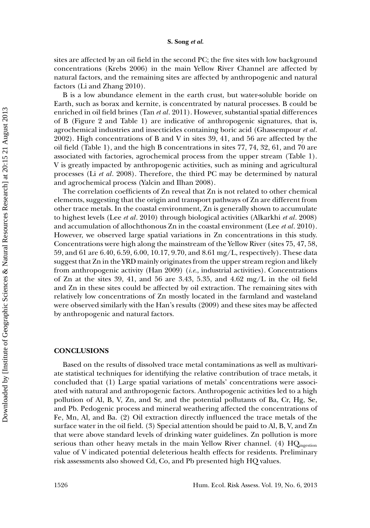sites are affected by an oil field in the second PC; the five sites with low background concentrations (Krebs 2006) in the main Yellow River Channel are affected by natural factors, and the remaining sites are affected by anthropogenic and natural factors (Li and Zhang 2010).

B is a low abundance element in the earth crust, but water-soluble boride on Earth, such as borax and kernite, is concentrated by natural processes. B could be enriched in oil field brines (Tan *et al*. 2011). However, substantial spatial differences of B (Figure 2 and Table 1) are indicative of anthropogenic signatures, that is, agrochemical industries and insecticides containing boric acid (Ghassempour *et al*. 2002). High concentrations of B and V in sites 39, 41, and 56 are affected by the oil field (Table 1), and the high B concentrations in sites 77, 74, 32, 61, and 70 are associated with factories, agrochemical process from the upper stream (Table 1). V is greatly impacted by anthropogenic activities, such as mining and agricultural processes (Li *et al*. 2008). Therefore, the third PC may be determined by natural and agrochemical process (Yalcin and Ilhan 2008).

The correlation coefficients of Zn reveal that Zn is not related to other chemical elements, suggesting that the origin and transport pathways of Zn are different from other trace metals. In the coastal environment, Zn is generally shown to accumulate to highest levels (Lee *et al*. 2010) through biological activities (Alkarkhi *et al*. 2008) and accumulation of allochthonous Zn in the coastal environment (Lee *et al*. 2010). However, we observed large spatial variations in Zn concentrations in this study. Concentrations were high along the mainstream of the Yellow River (sites 75, 47, 58, 59, and 61 are 6.40, 6.59, 6.00, 10.17, 9.70, and 8.61 mg/L, respectively). These data suggest that Zn in the YRD mainly originates from the upper stream region and likely from anthropogenic activity (Han 2009) (*i.e.*, industrial activities). Concentrations of Zn at the sites 39, 41, and 56 are 3.43, 5.35, and 4.62 mg/L in the oil field and Zn in these sites could be affected by oil extraction. The remaining sites with relatively low concentrations of Zn mostly located in the farmland and wasteland were observed similarly with the Han's results (2009) and these sites may be affected by anthropogenic and natural factors.

### **CONCLUSIONS**

Based on the results of dissolved trace metal contaminations as well as multivariate statistical techniques for identifying the relative contribution of trace metals, it concluded that (1) Large spatial variations of metals' concentrations were associated with natural and anthropogenic factors. Anthropogenic activities led to a high pollution of Al, B, V, Zn, and Sr, and the potential pollutants of Ba, Cr, Hg, Se, and Pb. Pedogenic process and mineral weathering affected the concentrations of Fe, Mn, Al, and Ba. (2) Oil extraction directly influenced the trace metals of the surface water in the oil field. (3) Special attention should be paid to Al, B, V, and Zn that were above standard levels of drinking water guidelines. Zn pollution is more serious than other heavy metals in the main Yellow River channel. (4)  $HQ_{\text{ingestion}}$ value of V indicated potential deleterious health effects for residents. Preliminary risk assessments also showed Cd, Co, and Pb presented high HQ values.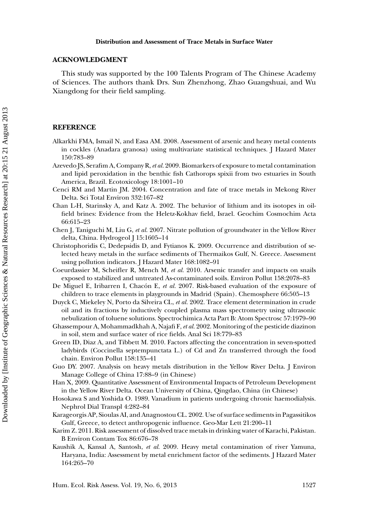# **ACKNOWLEDGMENT**

This study was supported by the 100 Talents Program of The Chinese Academy of Sciences. The authors thank Drs. Sun Zhenzhong, Zhao Guangshuai, and Wu Xiangdong for their field sampling.

# **REFERENCE**

- Alkarkhi FMA, Ismail N, and Easa AM. 2008. Assessment of arsenic and heavy metal contents in cockles (Anadara granosa) using multivariate statistical techniques. J Hazard Mater 150:783–89
- Azevedo JS, Serafim A, Company R,*et al.* 2009. Biomarkers of exposure to metal contamination and lipid peroxidation in the benthic fish Cathorops spixii from two estuaries in South America, Brazil. Ecotoxicology 18:1001–10
- Cenci RM and Martin JM. 2004. Concentration and fate of trace metals in Mekong River Delta. Sci Total Environ 332:167–82
- Chan L-H, Starinsky A, and Katz A. 2002. The behavior of lithium and its isotopes in oilfield brines: Evidence from the Heletz-Kokhav field, Israel. Geochim Cosmochim Acta 66:615–23
- Chen J, Taniguchi M, Liu G, *et al.* 2007. Nitrate pollution of groundwater in the Yellow River delta, China. Hydrogeol J 15:1605-14
- Christophoridis C, Dedepsidis D, and Fytianos K. 2009. Occurrence and distribution of selected heavy metals in the surface sediments of Thermaikos Gulf, N. Greece. Assessment using pollution indicators. J Hazard Mater 168:1082–91
- Coeurdassier M, Scheifler R, Mench M, *et al.* 2010. Arsenic transfer and impacts on snails exposed to stabilized and untreated As-contaminated soils. Environ Pollut 158:2078–83
- De Miguel E, Iribarren I, Chacón E, *et al.* 2007. Risk-based evaluation of the exposure of children to trace elements in playgrounds in Madrid (Spain). Chemosphere 66:505–13
- Duyck C, Miekeley N, Porto da Silveira CL, *et al.* 2002. Trace element determination in crude oil and its fractions by inductively coupled plasma mass spectrometry using ultrasonic nebulization of toluene solutions. Spectrochimica Acta Part B: Atom Spectrosc 57:1979–90
- Ghassempour A, Mohammadkhah A, Najafi F, *et al.* 2002. Monitoring of the pesticide diazinon in soil, stem and surface water of rice fields. Anal Sci 18:779–83
- Green ID, Diaz A, and Tibbett M. 2010. Factors affecting the concentration in seven-spotted ladybirds (Coccinella septempunctata L.) of Cd and Zn transferred through the food chain. Environ Pollut 158:135–41
- Guo DY. 2007. Analysis on heavy metals distribution in the Yellow River Delta. J Environ Manage College of China 17:88–9 (in Chinese)
- Han X, 2009. Quantitative Assessment of Environmental Impacts of Petroleum Development in the Yellow River Delta. Ocean University of China, Qingdao, China (in Chinese)
- Hosokawa S and Yoshida O. 1989. Vanadium in patients undergoing chronic haemodialysis. Nephrol Dial Transpl 4:282–84
- Karageorgis AP, Sioulas AI, and Anagnostou CL. 2002. Use of surface sediments in Pagassitikos Gulf, Greece, to detect anthropogenic influence. Geo-Mar Lett 21:200–11
- Karim Z. 2011. Risk assessment of dissolved trace metals in drinking water of Karachi, Pakistan. B Environ Contam Tox 86:676–78
- Kaushik A, Kansal A, Santosh, *et al.* 2009. Heavy metal contamination of river Yamuna, Haryana, India: Assessment by metal enrichment factor of the sediments. J Hazard Mater 164:265–70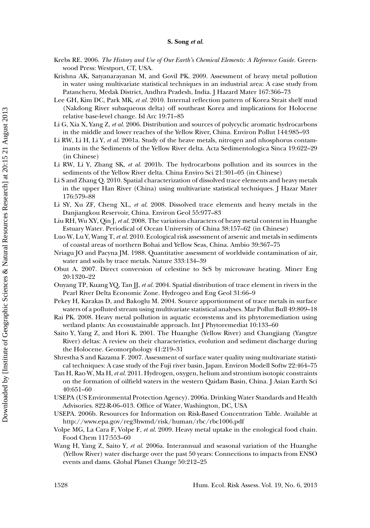- Krebs RE. 2006. *The History and Use of Our Earth's Chemical Elements: A Reference Guide*. Greenwood Press: Westport, CT, USA.
- Krishna AK, Satyanarayanan M, and Govil PK. 2009. Assessment of heavy metal pollution in water using multivariate statistical techniques in an industrial area: A case study from Patancheru, Medak District, Andhra Pradesh, India. J Hazard Mater 167:366–73
- Lee GH, Kim DC, Park MK, *et al.* 2010. Internal reflection pattern of Korea Strait shelf mud (Nakdong River subaqueous delta) off southeast Korea and implications for Holocene relative base-level change. Isl Arc 19:71–85
- Li G, Xia X, Yang Z, *et al.* 2006. Distribution and sources of polycyclic aromatic hydrocarbons in the middle and lower reaches of the Yellow River, China. Environ Pollut 144:985–93
- Li RW, Li H, Li Y, *et al.* 2001a. Study of the heave metals, nitrogen and nhosphorus contaminants in the Sediments of the Yellow River delta. Acta Sedimentologica Sinca 19:622–29 (in Chinese)
- Li RW, Li Y, Zhang SK, *et al.* 2001b. The hydrocarbons pollution and its sources in the sediments of the Yellow River delta. China Enviro Sci 21:301–05 (in Chinese)
- Li S and Zhang Q. 2010. Spatial characterization of dissolved trace elements and heavy metals in the upper Han River (China) using multivariate statistical techniques. J Hazar Mater 176:579–88
- Li SY, Xu ZF, Cheng XL, *et al.* 2008. Dissolved trace elements and heavy metals in the Danjiangkou Reservoir, China. Environ Geol 55:977–83
- Liu RH, Wu XY, Qin J, *et al.* 2008. The variation characters of heavy metal content in Huanghe Estuary Water. Periodical of Ocean University of China 38:157–62 (in Chinese)
- Luo W, Lu Y, Wang T, *et al.* 2010. Ecological risk assessment of arsenic and metals in sediments of coastal areas of northern Bohai and Yellow Seas, China. Ambio 39:367–75
- Nriagu JO and Pacyna JM. 1988. Quantitative assessment of worldwide contamination of air, water and soils by trace metals. Nature 333:134–39
- Obut A. 2007. Direct conversion of celestine to SrS by microwave heating. Miner Eng 20:1320–22
- Ouyang TP, Kuang YQ, Tan JJ, *et al.* 2004. Spatial distribution of trace element in rivers in the Pearl River Delta Economic Zone. Hydrogeo and Eng Geol 31:66–9
- Pekey H, Karakas D, and Bakoglu M. 2004. Source apportionment of trace metals in surface waters of a polluted stream using multivariate statistical analyses. Mar Pollut Bull 49:809–18
- Rai PK. 2008. Heavy metal pollution in aquatic ecosystems and its phytoremediation using wetland plants: An ecosustainable approach. Int J Phytoremediat 10:133–60
- Saito Y, Yang Z, and Hori K. 2001. The Huanghe (Yellow River) and Changjiang (Yangtze River) deltas: A review on their characteristics, evolution and sediment discharge during the Holocene. Geomorphology 41:219–31
- Shrestha S and Kazama F. 2007. Assessment of surface water quality using multivariate statistical techniques: A case study of the Fuji river basin, Japan. Environ Modell Softw 22:464–75
- Tan H, Rao W, Ma H, *et al.* 2011. Hydrogen, oxygen, helium and strontium isotopic constraints on the formation of oilfield waters in the western Qaidam Basin, China. J Asian Earth Sci 40:651–60
- USEPA (US Environmental Protection Agency). 2006a. Drinking Water Standards and Health Advisories. 822-R-06–013. Office of Water, Washington, DC, USA
- USEPA. 2006b. Resources for Information on Risk-Based Concentration Table. Available at http://www.epa.gov/reg3hwmd/risk/human/rbc/rbc1006.pdf
- Volpe MG, La Cara F, Volpe F, *et al.* 2009. Heavy metal uptake in the enological food chain. Food Chem 117:553–60
- Wang H, Yang Z, Saito Y, *et al.* 2006a. Interannual and seasonal variation of the Huanghe (Yellow River) water discharge over the past 50 years: Connections to impacts from ENSO events and dams. Global Planet Change 50:212–25